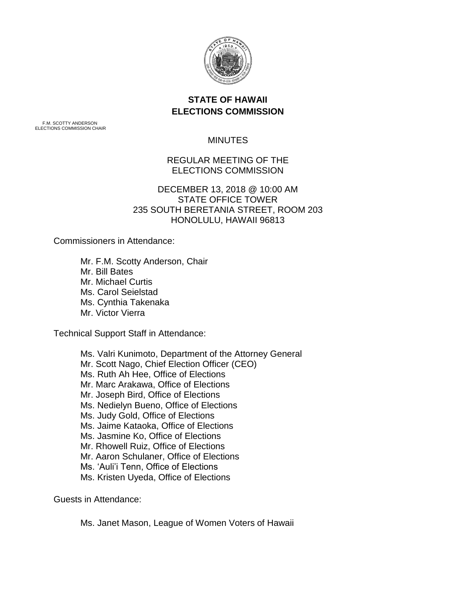

# **STATE OF HAWAII ELECTIONS COMMISSION**

F.M. SCOTTY ANDERSON ELECTIONS COMMISSION CHAIR

### **MINUTES**

## REGULAR MEETING OF THE ELECTIONS COMMISSION

### DECEMBER 13, 2018 @ 10:00 AM STATE OFFICE TOWER 235 SOUTH BERETANIA STREET, ROOM 203 HONOLULU, HAWAII 96813

Commissioners in Attendance:

Mr. F.M. Scotty Anderson, Chair Mr. Bill Bates Mr. Michael Curtis Ms. Carol Seielstad Ms. Cynthia Takenaka Mr. Victor Vierra

Technical Support Staff in Attendance:

Ms. Valri Kunimoto, Department of the Attorney General Mr. Scott Nago, Chief Election Officer (CEO) Ms. Ruth Ah Hee, Office of Elections Mr. Marc Arakawa, Office of Elections Mr. Joseph Bird, Office of Elections Ms. Nedielyn Bueno, Office of Elections Ms. Judy Gold, Office of Elections Ms. Jaime Kataoka, Office of Elections Ms. Jasmine Ko, Office of Elections Mr. Rhowell Ruiz, Office of Elections Mr. Aaron Schulaner, Office of Elections Ms. 'Auli'i Tenn, Office of Elections Ms. Kristen Uyeda, Office of Elections

Guests in Attendance:

Ms. Janet Mason, League of Women Voters of Hawaii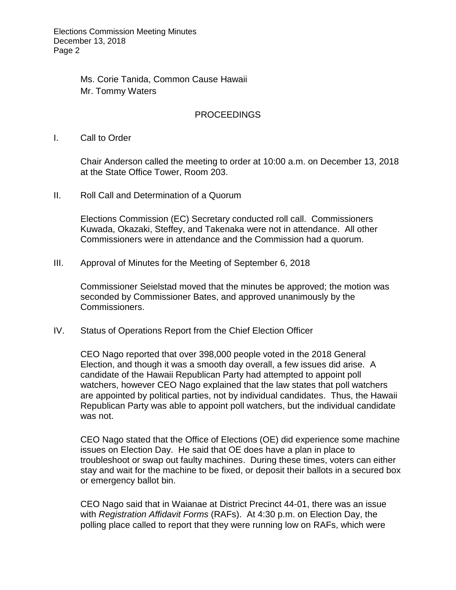Elections Commission Meeting Minutes December 13, 2018 Page 2

> Ms. Corie Tanida, Common Cause Hawaii Mr. Tommy Waters

#### PROCEEDINGS

I. Call to Order

Chair Anderson called the meeting to order at 10:00 a.m. on December 13, 2018 at the State Office Tower, Room 203.

II. Roll Call and Determination of a Quorum

Elections Commission (EC) Secretary conducted roll call. Commissioners Kuwada, Okazaki, Steffey, and Takenaka were not in attendance. All other Commissioners were in attendance and the Commission had a quorum.

III. Approval of Minutes for the Meeting of September 6, 2018

Commissioner Seielstad moved that the minutes be approved; the motion was seconded by Commissioner Bates, and approved unanimously by the Commissioners.

IV. Status of Operations Report from the Chief Election Officer

CEO Nago reported that over 398,000 people voted in the 2018 General Election, and though it was a smooth day overall, a few issues did arise. A candidate of the Hawaii Republican Party had attempted to appoint poll watchers, however CEO Nago explained that the law states that poll watchers are appointed by political parties, not by individual candidates. Thus, the Hawaii Republican Party was able to appoint poll watchers, but the individual candidate was not.

CEO Nago stated that the Office of Elections (OE) did experience some machine issues on Election Day. He said that OE does have a plan in place to troubleshoot or swap out faulty machines. During these times, voters can either stay and wait for the machine to be fixed, or deposit their ballots in a secured box or emergency ballot bin.

CEO Nago said that in Waianae at District Precinct 44-01, there was an issue with *Registration Affidavit Forms* (RAFs). At 4:30 p.m. on Election Day, the polling place called to report that they were running low on RAFs, which were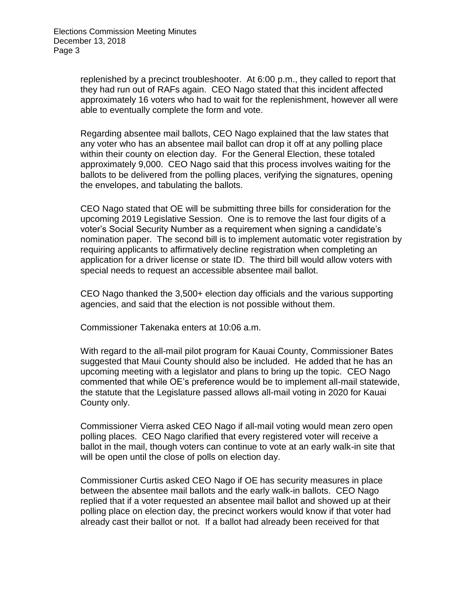replenished by a precinct troubleshooter. At 6:00 p.m., they called to report that they had run out of RAFs again. CEO Nago stated that this incident affected approximately 16 voters who had to wait for the replenishment, however all were able to eventually complete the form and vote.

Regarding absentee mail ballots, CEO Nago explained that the law states that any voter who has an absentee mail ballot can drop it off at any polling place within their county on election day. For the General Election, these totaled approximately 9,000. CEO Nago said that this process involves waiting for the ballots to be delivered from the polling places, verifying the signatures, opening the envelopes, and tabulating the ballots.

CEO Nago stated that OE will be submitting three bills for consideration for the upcoming 2019 Legislative Session. One is to remove the last four digits of a voter's Social Security Number as a requirement when signing a candidate's nomination paper. The second bill is to implement automatic voter registration by requiring applicants to affirmatively decline registration when completing an application for a driver license or state ID. The third bill would allow voters with special needs to request an accessible absentee mail ballot.

CEO Nago thanked the 3,500+ election day officials and the various supporting agencies, and said that the election is not possible without them.

Commissioner Takenaka enters at 10:06 a.m.

With regard to the all-mail pilot program for Kauai County, Commissioner Bates suggested that Maui County should also be included. He added that he has an upcoming meeting with a legislator and plans to bring up the topic. CEO Nago commented that while OE's preference would be to implement all-mail statewide, the statute that the Legislature passed allows all-mail voting in 2020 for Kauai County only.

Commissioner Vierra asked CEO Nago if all-mail voting would mean zero open polling places. CEO Nago clarified that every registered voter will receive a ballot in the mail, though voters can continue to vote at an early walk-in site that will be open until the close of polls on election day.

Commissioner Curtis asked CEO Nago if OE has security measures in place between the absentee mail ballots and the early walk-in ballots. CEO Nago replied that if a voter requested an absentee mail ballot and showed up at their polling place on election day, the precinct workers would know if that voter had already cast their ballot or not. If a ballot had already been received for that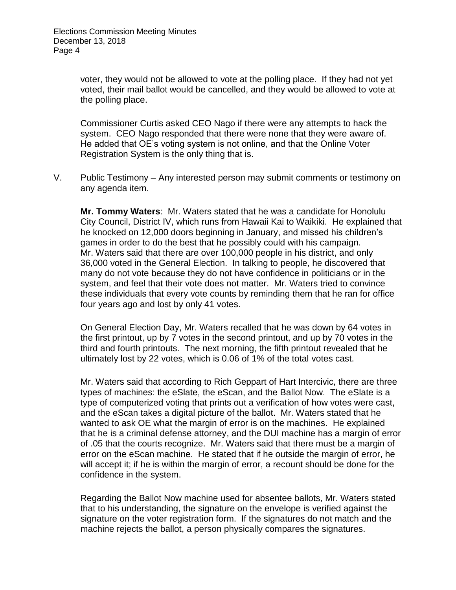voter, they would not be allowed to vote at the polling place. If they had not yet voted, their mail ballot would be cancelled, and they would be allowed to vote at the polling place.

Commissioner Curtis asked CEO Nago if there were any attempts to hack the system. CEO Nago responded that there were none that they were aware of. He added that OE's voting system is not online, and that the Online Voter Registration System is the only thing that is.

V. Public Testimony – Any interested person may submit comments or testimony on any agenda item.

**Mr. Tommy Waters**: Mr. Waters stated that he was a candidate for Honolulu City Council, District IV, which runs from Hawaii Kai to Waikiki. He explained that he knocked on 12,000 doors beginning in January, and missed his children's games in order to do the best that he possibly could with his campaign. Mr. Waters said that there are over 100,000 people in his district, and only 36,000 voted in the General Election. In talking to people, he discovered that many do not vote because they do not have confidence in politicians or in the system, and feel that their vote does not matter. Mr. Waters tried to convince these individuals that every vote counts by reminding them that he ran for office four years ago and lost by only 41 votes.

On General Election Day, Mr. Waters recalled that he was down by 64 votes in the first printout, up by 7 votes in the second printout, and up by 70 votes in the third and fourth printouts. The next morning, the fifth printout revealed that he ultimately lost by 22 votes, which is 0.06 of 1% of the total votes cast.

Mr. Waters said that according to Rich Geppart of Hart Intercivic, there are three types of machines: the eSlate, the eScan, and the Ballot Now. The eSlate is a type of computerized voting that prints out a verification of how votes were cast, and the eScan takes a digital picture of the ballot. Mr. Waters stated that he wanted to ask OE what the margin of error is on the machines. He explained that he is a criminal defense attorney, and the DUI machine has a margin of error of .05 that the courts recognize. Mr. Waters said that there must be a margin of error on the eScan machine. He stated that if he outside the margin of error, he will accept it; if he is within the margin of error, a recount should be done for the confidence in the system.

Regarding the Ballot Now machine used for absentee ballots, Mr. Waters stated that to his understanding, the signature on the envelope is verified against the signature on the voter registration form. If the signatures do not match and the machine rejects the ballot, a person physically compares the signatures.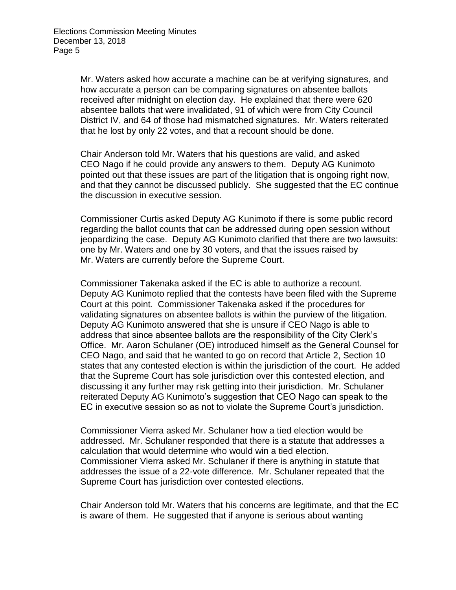Mr. Waters asked how accurate a machine can be at verifying signatures, and how accurate a person can be comparing signatures on absentee ballots received after midnight on election day. He explained that there were 620 absentee ballots that were invalidated, 91 of which were from City Council District IV, and 64 of those had mismatched signatures. Mr. Waters reiterated that he lost by only 22 votes, and that a recount should be done.

Chair Anderson told Mr. Waters that his questions are valid, and asked CEO Nago if he could provide any answers to them. Deputy AG Kunimoto pointed out that these issues are part of the litigation that is ongoing right now, and that they cannot be discussed publicly. She suggested that the EC continue the discussion in executive session.

Commissioner Curtis asked Deputy AG Kunimoto if there is some public record regarding the ballot counts that can be addressed during open session without jeopardizing the case. Deputy AG Kunimoto clarified that there are two lawsuits: one by Mr. Waters and one by 30 voters, and that the issues raised by Mr. Waters are currently before the Supreme Court.

Commissioner Takenaka asked if the EC is able to authorize a recount. Deputy AG Kunimoto replied that the contests have been filed with the Supreme Court at this point. Commissioner Takenaka asked if the procedures for validating signatures on absentee ballots is within the purview of the litigation. Deputy AG Kunimoto answered that she is unsure if CEO Nago is able to address that since absentee ballots are the responsibility of the City Clerk's Office. Mr. Aaron Schulaner (OE) introduced himself as the General Counsel for CEO Nago, and said that he wanted to go on record that Article 2, Section 10 states that any contested election is within the jurisdiction of the court. He added that the Supreme Court has sole jurisdiction over this contested election, and discussing it any further may risk getting into their jurisdiction. Mr. Schulaner reiterated Deputy AG Kunimoto's suggestion that CEO Nago can speak to the EC in executive session so as not to violate the Supreme Court's jurisdiction.

Commissioner Vierra asked Mr. Schulaner how a tied election would be addressed. Mr. Schulaner responded that there is a statute that addresses a calculation that would determine who would win a tied election. Commissioner Vierra asked Mr. Schulaner if there is anything in statute that addresses the issue of a 22-vote difference. Mr. Schulaner repeated that the Supreme Court has jurisdiction over contested elections.

Chair Anderson told Mr. Waters that his concerns are legitimate, and that the EC is aware of them. He suggested that if anyone is serious about wanting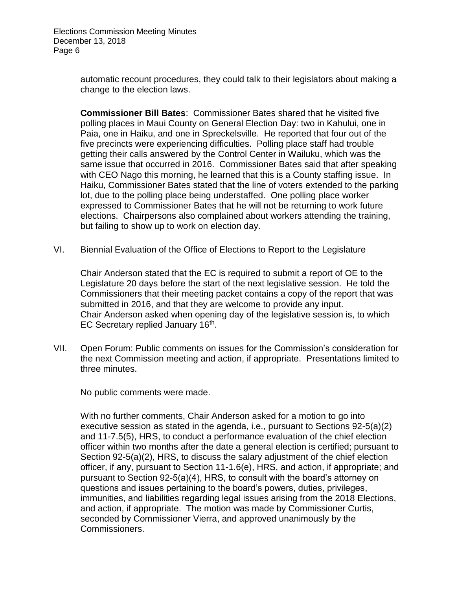Elections Commission Meeting Minutes December 13, 2018 Page 6

> automatic recount procedures, they could talk to their legislators about making a change to the election laws.

> **Commissioner Bill Bates**: Commissioner Bates shared that he visited five polling places in Maui County on General Election Day: two in Kahului, one in Paia, one in Haiku, and one in Spreckelsville. He reported that four out of the five precincts were experiencing difficulties. Polling place staff had trouble getting their calls answered by the Control Center in Wailuku, which was the same issue that occurred in 2016. Commissioner Bates said that after speaking with CEO Nago this morning, he learned that this is a County staffing issue. In Haiku, Commissioner Bates stated that the line of voters extended to the parking lot, due to the polling place being understaffed. One polling place worker expressed to Commissioner Bates that he will not be returning to work future elections. Chairpersons also complained about workers attending the training, but failing to show up to work on election day.

VI. Biennial Evaluation of the Office of Elections to Report to the Legislature

Chair Anderson stated that the EC is required to submit a report of OE to the Legislature 20 days before the start of the next legislative session. He told the Commissioners that their meeting packet contains a copy of the report that was submitted in 2016, and that they are welcome to provide any input. Chair Anderson asked when opening day of the legislative session is, to which EC Secretary replied January 16<sup>th</sup>.

VII. Open Forum: Public comments on issues for the Commission's consideration for the next Commission meeting and action, if appropriate. Presentations limited to three minutes.

No public comments were made.

With no further comments, Chair Anderson asked for a motion to go into executive session as stated in the agenda, i.e., pursuant to Sections 92-5(a)(2) and 11-7.5(5), HRS, to conduct a performance evaluation of the chief election officer within two months after the date a general election is certified; pursuant to Section 92-5(a)(2), HRS, to discuss the salary adjustment of the chief election officer, if any, pursuant to Section 11-1.6(e), HRS, and action, if appropriate; and pursuant to Section 92-5(a)(4), HRS, to consult with the board's attorney on questions and issues pertaining to the board's powers, duties, privileges, immunities, and liabilities regarding legal issues arising from the 2018 Elections, and action, if appropriate. The motion was made by Commissioner Curtis, seconded by Commissioner Vierra, and approved unanimously by the Commissioners.